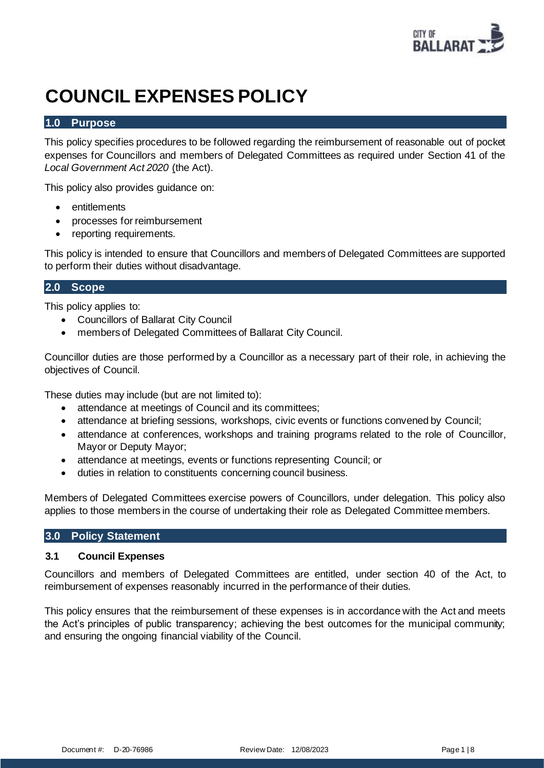

# **COUNCIL EXPENSES POLICY**

# **1.0 Purpose**

This policy specifies procedures to be followed regarding the reimbursement of reasonable out of pocket expenses for Councillors and members of Delegated Committees as required under Section 41 of the *Local Government Act 2020* (the Act).

This policy also provides guidance on:

- **entitlements**
- processes for reimbursement
- reporting requirements.

This policy is intended to ensure that Councillors and members of Delegated Committees are supported to perform their duties without disadvantage.

# **2.0 Scope**

This policy applies to:

- Councillors of Ballarat City Council
- members of Delegated Committees of Ballarat City Council.

Councillor duties are those performed by a Councillor as a necessary part of their role, in achieving the objectives of Council.

These duties may include (but are not limited to):

- attendance at meetings of Council and its committees;
- attendance at briefing sessions, workshops, civic events or functions convened by Council;
- attendance at conferences, workshops and training programs related to the role of Councillor, Mayor or Deputy Mayor;
- attendance at meetings, events or functions representing Council; or
- duties in relation to constituents concerning council business.

Members of Delegated Committees exercise powers of Councillors, under delegation. This policy also applies to those members in the course of undertaking their role as Delegated Committee members.

#### **3.0 Policy Statement**

#### **3.1 Council Expenses**

Councillors and members of Delegated Committees are entitled, under section 40 of the Act, to reimbursement of expenses reasonably incurred in the performance of their duties.

This policy ensures that the reimbursement of these expenses is in accordance with the Act and meets the Act's principles of public transparency; achieving the best outcomes for the municipal community; and ensuring the ongoing financial viability of the Council.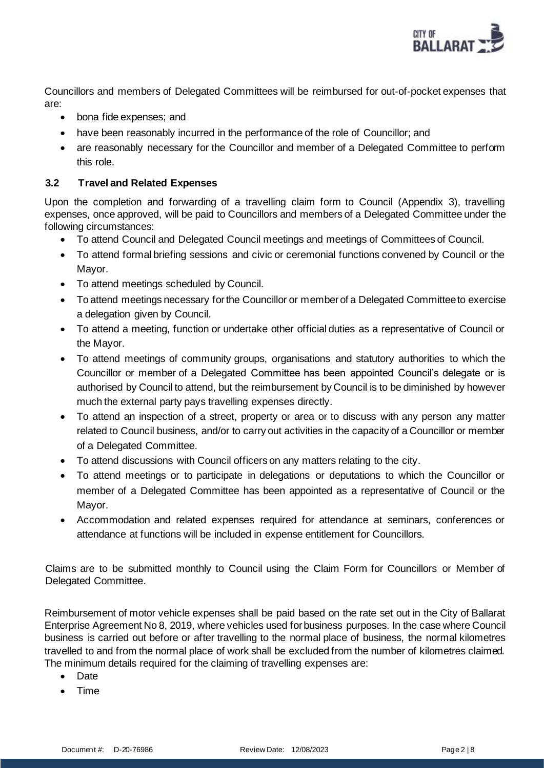

Councillors and members of Delegated Committees will be reimbursed for out-of-pocket expenses that are:

- bona fide expenses; and
- have been reasonably incurred in the performance of the role of Councillor; and
- are reasonably necessary for the Councillor and member of a Delegated Committee to perform this role.

# **3.2 Travel and Related Expenses**

Upon the completion and forwarding of a travelling claim form to Council (Appendix 3), travelling expenses, once approved, will be paid to Councillors and members of a Delegated Committee under the following circumstances:

- To attend Council and Delegated Council meetings and meetings of Committees of Council.
- To attend formal briefing sessions and civic or ceremonial functions convened by Council or the Mayor.
- To attend meetings scheduled by Council.
- To attend meetings necessary for the Councillor or member of a Delegated Committee to exercise a delegation given by Council.
- To attend a meeting, function or undertake other official duties as a representative of Council or the Mayor.
- To attend meetings of community groups, organisations and statutory authorities to which the Councillor or member of a Delegated Committee has been appointed Council's delegate or is authorised by Council to attend, but the reimbursement by Council is to be diminished by however much the external party pays travelling expenses directly.
- To attend an inspection of a street, property or area or to discuss with any person any matter related to Council business, and/or to carry out activities in the capacity of a Councillor or member of a Delegated Committee.
- To attend discussions with Council officers on any matters relating to the city.
- To attend meetings or to participate in delegations or deputations to which the Councillor or member of a Delegated Committee has been appointed as a representative of Council or the Mayor.
- Accommodation and related expenses required for attendance at seminars, conferences or attendance at functions will be included in expense entitlement for Councillors.

Claims are to be submitted monthly to Council using the Claim Form for Councillors or Member of Delegated Committee.

Reimbursement of motor vehicle expenses shall be paid based on the rate set out in the City of Ballarat Enterprise Agreement No 8, 2019, where vehicles used for business purposes. In the case where Council business is carried out before or after travelling to the normal place of business, the normal kilometres travelled to and from the normal place of work shall be excluded from the number of kilometres claimed. The minimum details required for the claiming of travelling expenses are:

- Date
- Time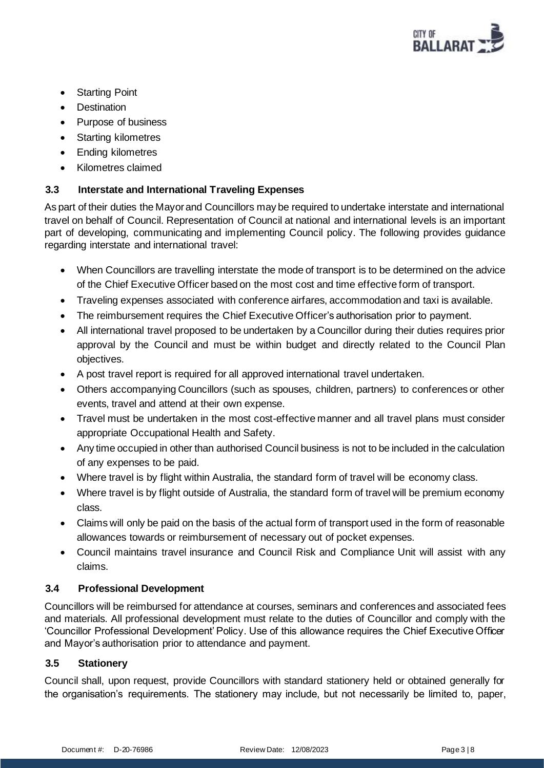

- **Starting Point**
- **Destination**
- Purpose of business
- Starting kilometres
- Ending kilometres
- Kilometres claimed

# **3.3 Interstate and International Traveling Expenses**

As part of their duties the Mayor and Councillors may be required to undertake interstate and international travel on behalf of Council. Representation of Council at national and international levels is an important part of developing, communicating and implementing Council policy. The following provides guidance regarding interstate and international travel:

- When Councillors are travelling interstate the mode of transport is to be determined on the advice of the Chief Executive Officer based on the most cost and time effective form of transport.
- Traveling expenses associated with conference airfares, accommodation and taxi is available.
- The reimbursement requires the Chief Executive Officer's authorisation prior to payment.
- All international travel proposed to be undertaken by a Councillor during their duties requires prior approval by the Council and must be within budget and directly related to the Council Plan objectives.
- A post travel report is required for all approved international travel undertaken.
- Others accompanying Councillors (such as spouses, children, partners) to conferences or other events, travel and attend at their own expense.
- Travel must be undertaken in the most cost-effective manner and all travel plans must consider appropriate Occupational Health and Safety.
- Any time occupied in other than authorised Council business is not to be included in the calculation of any expenses to be paid.
- Where travel is by flight within Australia, the standard form of travel will be economy class.
- Where travel is by flight outside of Australia, the standard form of travel will be premium economy class.
- Claims will only be paid on the basis of the actual form of transport used in the form of reasonable allowances towards or reimbursement of necessary out of pocket expenses.
- Council maintains travel insurance and Council Risk and Compliance Unit will assist with any claims.

## **3.4 Professional Development**

Councillors will be reimbursed for attendance at courses, seminars and conferences and associated fees and materials. All professional development must relate to the duties of Councillor and comply with the 'Councillor Professional Development' Policy. Use of this allowance requires the Chief Executive Officer and Mayor's authorisation prior to attendance and payment.

## **3.5 Stationery**

Council shall, upon request, provide Councillors with standard stationery held or obtained generally for the organisation's requirements. The stationery may include, but not necessarily be limited to, paper,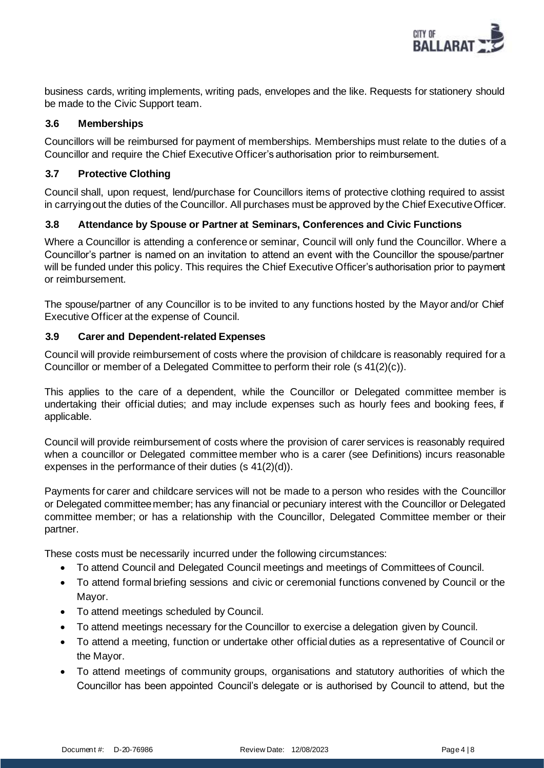

business cards, writing implements, writing pads, envelopes and the like. Requests for stationery should be made to the Civic Support team.

## **3.6 Memberships**

Councillors will be reimbursed for payment of memberships. Memberships must relate to the duties of a Councillor and require the Chief Executive Officer's authorisation prior to reimbursement.

#### **3.7 Protective Clothing**

Council shall, upon request, lend/purchase for Councillors items of protective clothing required to assist in carrying out the duties of the Councillor. All purchases must be approved by the Chief Executive Officer.

# **3.8 Attendance by Spouse or Partner at Seminars, Conferences and Civic Functions**

Where a Councillor is attending a conference or seminar, Council will only fund the Councillor. Where a Councillor's partner is named on an invitation to attend an event with the Councillor the spouse/partner will be funded under this policy. This requires the Chief Executive Officer's authorisation prior to payment or reimbursement.

The spouse/partner of any Councillor is to be invited to any functions hosted by the Mayor and/or Chief Executive Officer at the expense of Council.

#### **3.9 Carer and Dependent-related Expenses**

Council will provide reimbursement of costs where the provision of childcare is reasonably required for a Councillor or member of a Delegated Committee to perform their role (s 41(2)(c)).

This applies to the care of a dependent, while the Councillor or Delegated committee member is undertaking their official duties; and may include expenses such as hourly fees and booking fees, if applicable.

Council will provide reimbursement of costs where the provision of carer services is reasonably required when a councillor or Delegated committee member who is a carer (see Definitions) incurs reasonable expenses in the performance of their duties (s 41(2)(d)).

Payments for carer and childcare services will not be made to a person who resides with the Councillor or Delegated committee member; has any financial or pecuniary interest with the Councillor or Delegated committee member; or has a relationship with the Councillor, Delegated Committee member or their partner.

These costs must be necessarily incurred under the following circumstances:

- To attend Council and Delegated Council meetings and meetings of Committees of Council.
- To attend formal briefing sessions and civic or ceremonial functions convened by Council or the Mayor.
- To attend meetings scheduled by Council.
- To attend meetings necessary for the Councillor to exercise a delegation given by Council.
- To attend a meeting, function or undertake other official duties as a representative of Council or the Mayor.
- To attend meetings of community groups, organisations and statutory authorities of which the Councillor has been appointed Council's delegate or is authorised by Council to attend, but the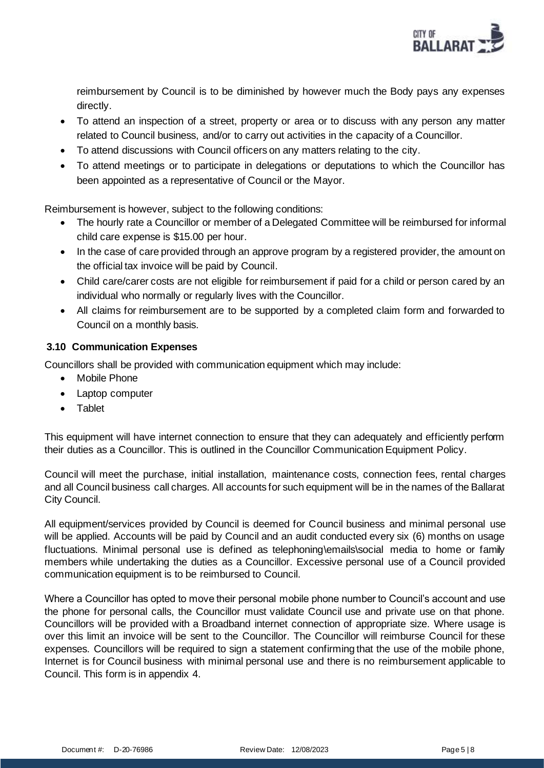

reimbursement by Council is to be diminished by however much the Body pays any expenses directly.

- To attend an inspection of a street, property or area or to discuss with any person any matter related to Council business, and/or to carry out activities in the capacity of a Councillor.
- To attend discussions with Council officers on any matters relating to the city.
- To attend meetings or to participate in delegations or deputations to which the Councillor has been appointed as a representative of Council or the Mayor.

Reimbursement is however, subject to the following conditions:

- The hourly rate a Councillor or member of a Delegated Committee will be reimbursed for informal child care expense is \$15.00 per hour.
- In the case of care provided through an approve program by a registered provider, the amount on the official tax invoice will be paid by Council.
- Child care/carer costs are not eligible for reimbursement if paid for a child or person cared by an individual who normally or regularly lives with the Councillor.
- All claims for reimbursement are to be supported by a completed claim form and forwarded to Council on a monthly basis.

# **3.10 Communication Expenses**

Councillors shall be provided with communication equipment which may include:

- **Mobile Phone**
- Laptop computer
- Tablet

This equipment will have internet connection to ensure that they can adequately and efficiently perform their duties as a Councillor. This is outlined in the Councillor Communication Equipment Policy.

Council will meet the purchase, initial installation, maintenance costs, connection fees, rental charges and all Council business call charges. All accounts for such equipment will be in the names of the Ballarat City Council.

All equipment/services provided by Council is deemed for Council business and minimal personal use will be applied. Accounts will be paid by Council and an audit conducted every six (6) months on usage fluctuations. Minimal personal use is defined as telephoning\emails\social media to home or family members while undertaking the duties as a Councillor. Excessive personal use of a Council provided communication equipment is to be reimbursed to Council.

Where a Councillor has opted to move their personal mobile phone number to Council's account and use the phone for personal calls, the Councillor must validate Council use and private use on that phone. Councillors will be provided with a Broadband internet connection of appropriate size. Where usage is over this limit an invoice will be sent to the Councillor. The Councillor will reimburse Council for these expenses. Councillors will be required to sign a statement confirming that the use of the mobile phone, Internet is for Council business with minimal personal use and there is no reimbursement applicable to Council. This form is in appendix 4.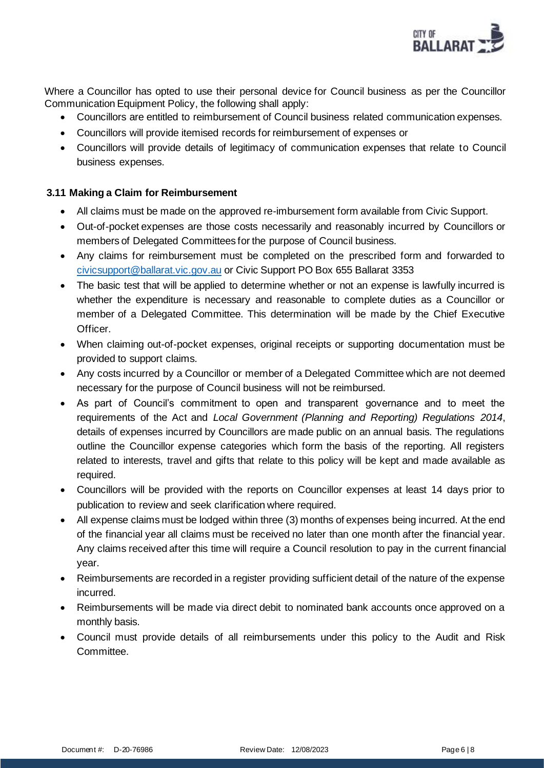

Where a Councillor has opted to use their personal device for Council business as per the Councillor Communication Equipment Policy, the following shall apply:

- Councillors are entitled to reimbursement of Council business related communication expenses.
- Councillors will provide itemised records for reimbursement of expenses or
- Councillors will provide details of legitimacy of communication expenses that relate to Council business expenses.

## **3.11 Making a Claim for Reimbursement**

- All claims must be made on the approved re-imbursement form available from Civic Support.
- Out-of-pocket expenses are those costs necessarily and reasonably incurred by Councillors or members of Delegated Committees for the purpose of Council business.
- Any claims for reimbursement must be completed on the prescribed form and forwarded to [civicsupport@ballarat.vic.gov.au](mailto:civicsupport@ballarat.vic.gov.au) or Civic Support PO Box 655 Ballarat 3353
- The basic test that will be applied to determine whether or not an expense is lawfully incurred is whether the expenditure is necessary and reasonable to complete duties as a Councillor or member of a Delegated Committee. This determination will be made by the Chief Executive Officer.
- When claiming out-of-pocket expenses, original receipts or supporting documentation must be provided to support claims.
- Any costs incurred by a Councillor or member of a Delegated Committee which are not deemed necessary for the purpose of Council business will not be reimbursed.
- As part of Council's commitment to open and transparent governance and to meet the requirements of the Act and *Local Government (Planning and Reporting) Regulations 2014*, details of expenses incurred by Councillors are made public on an annual basis. The regulations outline the Councillor expense categories which form the basis of the reporting. All registers related to interests, travel and gifts that relate to this policy will be kept and made available as required.
- Councillors will be provided with the reports on Councillor expenses at least 14 days prior to publication to review and seek clarification where required.
- All expense claims must be lodged within three (3) months of expenses being incurred. At the end of the financial year all claims must be received no later than one month after the financial year. Any claims received after this time will require a Council resolution to pay in the current financial year.
- Reimbursements are recorded in a register providing sufficient detail of the nature of the expense incurred.
- Reimbursements will be made via direct debit to nominated bank accounts once approved on a monthly basis.
- Council must provide details of all reimbursements under this policy to the Audit and Risk Committee.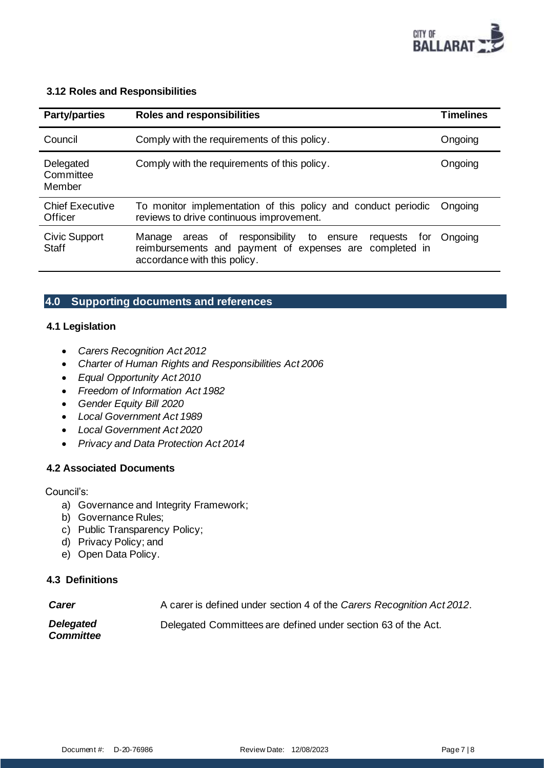

#### **3.12 Roles and Responsibilities**

| <b>Party/parties</b>              | <b>Roles and responsibilities</b>                                                                                                                                     | <b>Timelines</b> |
|-----------------------------------|-----------------------------------------------------------------------------------------------------------------------------------------------------------------------|------------------|
| Council                           | Comply with the requirements of this policy.                                                                                                                          | Ongoing          |
| Delegated<br>Committee<br>Member  | Comply with the requirements of this policy.                                                                                                                          | Ongoing          |
| <b>Chief Executive</b><br>Officer | To monitor implementation of this policy and conduct periodic<br>reviews to drive continuous improvement.                                                             | Ongoing          |
| Civic Support<br><b>Staff</b>     | responsibility<br>Manage<br>0f<br>to<br>requests<br>areas<br>ensure<br>tor<br>reimbursements and payment of expenses are completed in<br>accordance with this policy. | Ongoing          |

# **4.0 Supporting documents and references**

## **4.1 Legislation**

- *Carers Recognition Act 2012*
- *Charter of Human Rights and Responsibilities Act 2006*
- *Equal Opportunity Act 2010*
- *Freedom of Information Act 1982*
- *Gender Equity Bill 2020*
- *Local Government Act 1989*
- *Local Government Act 2020*
- *Privacy and Data Protection Act 2014*

#### **4.2 Associated Documents**

#### Council's:

- a) Governance and Integrity Framework;
- b) Governance Rules;
- c) Public Transparency Policy;
- d) Privacy Policy; and
- e) Open Data Policy.

#### **4.3 Definitions**

| <b>Carer</b>                         | A carer is defined under section 4 of the Carers Recognition Act 2012. |
|--------------------------------------|------------------------------------------------------------------------|
| <b>Delegated</b><br><b>Committee</b> | Delegated Committees are defined under section 63 of the Act.          |